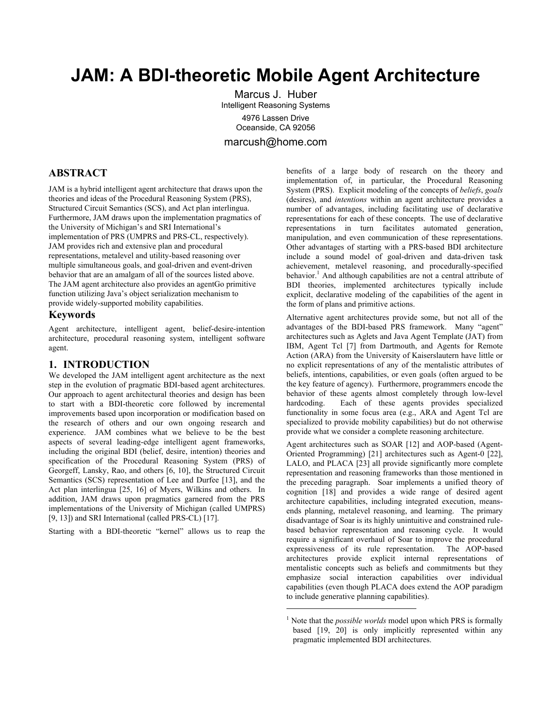# **JAM: A BDI-theoretic Mobile Agent Architecture**

Marcus J. Huber Intelligent Reasoning Systems 4976 Lassen Drive Oceanside, CA 92056 marcush@home.com

 $\overline{a}$ 

**ABSTRACT**

JAM is a hybrid intelligent agent architecture that draws upon the theories and ideas of the Procedural Reasoning System (PRS), Structured Circuit Semantics (SCS), and Act plan interlingua. Furthermore, JAM draws upon the implementation pragmatics of the University of Michigan's and SRI International's implementation of PRS (UMPRS and PRS-CL, respectively). JAM provides rich and extensive plan and procedural representations, metalevel and utility-based reasoning over multiple simultaneous goals, and goal-driven and event-driven behavior that are an amalgam of all of the sources listed above. The JAM agent architecture also provides an agentGo primitive function utilizing Java's object serialization mechanism to provide widely-supported mobility capabilities.

# **Keywords**

Agent architecture, intelligent agent, belief-desire-intention architecture, procedural reasoning system, intelligent software agent.

# **1. INTRODUCTION**

We developed the JAM intelligent agent architecture as the next step in the evolution of pragmatic BDI-based agent architectures. Our approach to agent architectural theories and design has been to start with a BDI-theoretic core followed by incremental improvements based upon incorporation or modification based on the research of others and our own ongoing research and experience. JAM combines what we believe to be the best aspects of several leading-edge intelligent agent frameworks, including the original BDI (belief, desire, intention) theories and specification of the Procedural Reasoning System (PRS) of Georgeff, Lansky, Rao, and others [6, 10], the Structured Circuit Semantics (SCS) representation of Lee and Durfee [13], and the Act plan interlingua [25, 16] of Myers, Wilkins and others. In addition, JAM draws upon pragmatics garnered from the PRS implementations of the University of Michigan (called UMPRS) [9, 13]) and SRI International (called PRS-CL) [17].

Starting with a BDI-theoretic "kernel" allows us to reap the

benefits of a large body of research on the theory and implementation of, in particular, the Procedural Reasoning System (PRS). Explicit modeling of the concepts of *beliefs*, *goals* (desires), and *intentions* within an agent architecture provides a number of advantages, including facilitating use of declarative representations for each of these concepts. The use of declarative representations in turn facilitates automated generation, manipulation, and even communication of these representations. Other advantages of starting with a PRS-based BDI architecture include a sound model of goal-driven and data-driven task achievement, metalevel reasoning, and procedurally-specified behavior.<sup>1</sup>And although capabilities are not a central attribute of BDI theories, implemented architectures typically include explicit, declarative modeling of the capabilities of the agent in the form of plans and primitive actions.

Alternative agent architectures provide some, but not all of the advantages of the BDI-based PRS framework. Many "agent" architectures such as Aglets and Java Agent Template (JAT) from IBM, Agent Tcl [7] from Dartmouth, and Agents for Remote Action (ARA) from the University of Kaiserslautern have little or no explicit representations of any of the mentalistic attributes of beliefs, intentions, capabilities, or even goals (often argued to be the key feature of agency). Furthermore, programmers encode the behavior of these agents almost completely through low-level hardcoding. Each of these agents provides specialized functionality in some focus area (e.g., ARA and Agent Tcl are specialized to provide mobility capabilities) but do not otherwise provide what we consider a complete reasoning architecture.

Agent architectures such as SOAR [12] and AOP-based (Agent-Oriented Programming) [21] architectures such as Agent-0 [22], LALO, and PLACA [23] all provide significantly more complete representation and reasoning frameworks than those mentioned in the preceding paragraph. Soar implements a unified theory of cognition [18] and provides a wide range of desired agent architecture capabilities, including integrated execution, meansends planning, metalevel reasoning, and learning. The primary disadvantage of Soar is its highly unintuitive and constrained rulebased behavior representation and reasoning cycle. It would require a significant overhaul of Soar to improve the procedural expressiveness of its rule representation. The AOP-based architectures provide explicit internal representations of mentalistic concepts such as beliefs and commitments but they emphasize social interaction capabilities over individual capabilities (even though PLACA does extend the AOP paradigm to include generative planning capabilities).

<span id="page-0-0"></span><sup>&</sup>lt;sup>1</sup> Note that the *possible worlds* model upon which PRS is formally based [19, 20] is only implicitly represented within any pragmatic implemented BDI architectures.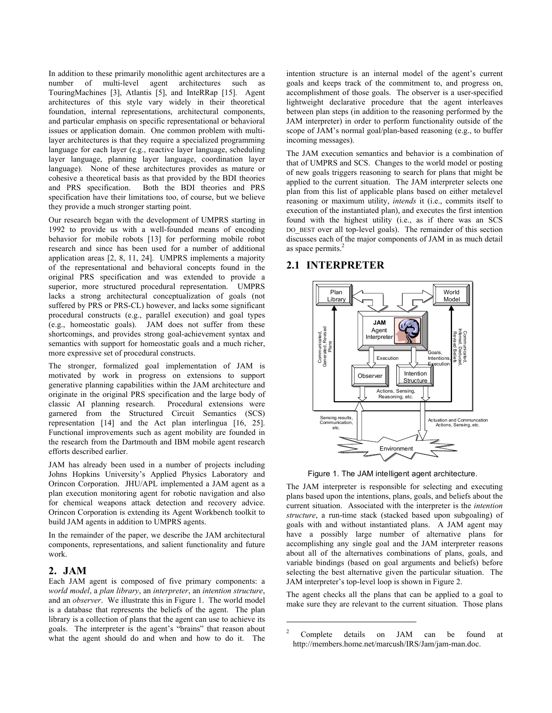In addition to these primarily monolithic agent architectures are a number of multi-level agent architectures such as TouringMachines [3], Atlantis [5], and InteRRap [15]. Agent architectures of this style vary widely in their theoretical foundation, internal representations, architectural components, and particular emphasis on specific representational or behavioral issues or application domain. One common problem with multilayer architectures is that they require a specialized programming language for each layer (e.g., reactive layer language, scheduling layer language, planning layer language, coordination layer language). None of these architectures provides as mature or cohesive a theoretical basis as that provided by the BDI theories and PRS specification. Both the BDI theories and PRS specification have their limitations too, of course, but we believe they provide a much stronger starting point.

Our research began with the development of UMPRS starting in 1992 to provide us with a well-founded means of encoding behavior for mobile robots [13] for performing mobile robot research and since has been used for a number of additional application areas [2, 8, 11, 24]. UMPRS implements a majority of the representational and behavioral concepts found in the original PRS specification and was extended to provide a superior, more structured procedural representation. UMPRS lacks a strong architectural conceptualization of goals (not suffered by PRS or PRS-CL) however, and lacks some significant procedural constructs (e.g., parallel execution) and goal types (e.g., homeostatic goals). JAM does not suffer from these shortcomings, and provides strong goal-achievement syntax and semantics with support for homeostatic goals and a much richer, more expressive set of procedural constructs.

The stronger, formalized goal implementation of JAM is motivated by work in progress on extensions to support generative planning capabilities within the JAM architecture and originate in the original PRS specification and the large body of classic AI planning research. Procedural extensions were garnered from the Structured Circuit Semantics (SCS) representation [14] and the Act plan interlingua [16, 25]. Functional improvements such as agent mobility are founded in the research from the Dartmouth and IBM mobile agent research efforts described earlier.

JAM has already been used in a number of projects including Johns Hopkins University's Applied Physics Laboratory and Orincon Corporation. JHU/APL implemented a JAM agent as a plan execution monitoring agent for robotic navigation and also for chemical weapons attack detection and recovery advice. Orincon Corporation is extending its Agent Workbench toolkit to build JAM agents in addition to UMPRS agents.

In the remainder of the paper, we describe the JAM architectural components, representations, and salient functionality and future work.

#### **2. JAM**

Each JAM agent is composed of five primary components: a *world model*, a *plan library*, an *interpreter*, an *intention structure*, and an *observer*. We illustrate this in Figure 1. The world model is a database that represents the beliefs of the agent. The plan library is a collection of plans that the agent can use to achieve its goals. The interpreter is the agent's "brains" that reason about what the agent should do and when and how to do it. The

intention structure is an internal model of the agent's current goals and keeps track of the commitment to, and progress on, accomplishment of those goals. The observer is a user-specified lightweight declarative procedure that the agent interleaves between plan steps (in addition to the reasoning performed by the JAM interpreter) in order to perform functionality outside of the scope of JAM's normal goal/plan-based reasoning (e.g., to buffer incoming messages).

The JAM execution semantics and behavior is a combination of that of UMPRS and SCS. Changes to the world model or posting of new goals triggers reasoning to search for plans that might be applied to the current situation. The JAM interpreter selects one plan from this list of applicable plans based on either metalevel reasoning or maximum utility, *intends* it (i.e., commits itself to execution of the instantiated plan), and executes the first intention found with the highest utility (i.e., as if there was an SCS DO\_BEST over all top-level goals). The remainder of this section discusses each of the major components of JAM in as much detail as space permits.<sup>[2](#page-1-0)</sup>

# **2.1 INTERPRETER**



Figure 1. The JAM intelligent agent architecture.

The JAM interpreter is responsible for selecting and executing plans based upon the intentions, plans, goals, and beliefs about the current situation. Associated with the interpreter is the *intention structure*, a run-time stack (stacked based upon subgoaling) of goals with and without instantiated plans. A JAM agent may have a possibly large number of alternative plans for accomplishing any single goal and the JAM interpreter reasons about all of the alternatives combinations of plans, goals, and variable bindings (based on goal arguments and beliefs) before selecting the best alternative given the particular situation. The JAM interpreter's top-level loop is shown in Figure 2.

The agent checks all the plans that can be applied to a goal to make sure they are relevant to the current situation. Those plans

 $\overline{a}$ 

<span id="page-1-0"></span><sup>2</sup> Complete details on JAM can be found at http://members.home.net/marcush/IRS/Jam/jam-man.doc.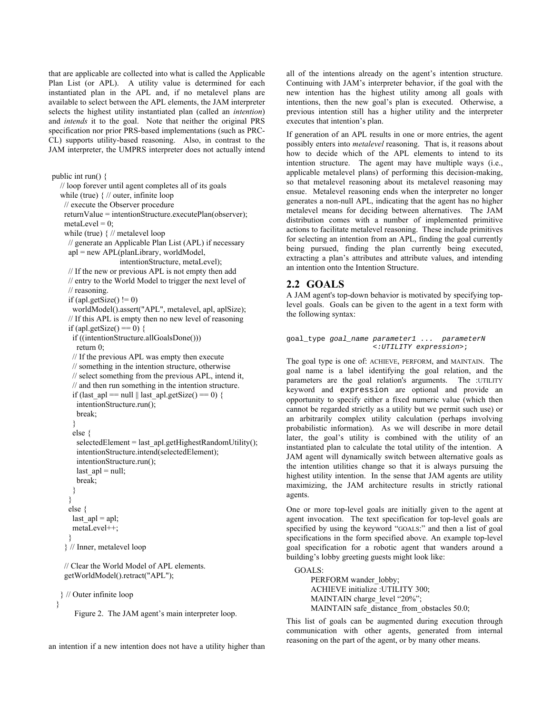that are applicable are collected into what is called the Applicable Plan List (or APL). A utility value is determined for each instantiated plan in the APL and, if no metalevel plans are available to select between the APL elements, the JAM interpreter selects the highest utility instantiated plan (called an *intention*) and *intends* it to the goal. Note that neither the original PRS specification nor prior PRS-based implementations (such as PRC-CL) supports utility-based reasoning. Also, in contrast to the JAM interpreter, the UMPRS interpreter does not actually intend

```
public int run() { 
   // loop forever until agent completes all of its goals 
   while (true) { // outer, infinite loop 
    // execute the Observer procedure 
    returnValue = intentionStructure.executePlan(observer); 
   metaLevel = 0;
    while (true) { // metalevel loop 
      // generate an Applicable Plan List (APL) if necessary
      apl = new APL(planLibrary, worldModel, 
                       intentionStructure, metaLevel); 
      // If the new or previous APL is not empty then add 
      // entry to the World Model to trigger the next level of 
      // reasoning. 
     if (apl.getSize() != 0)
       worldModel().assert("APL", metalevel, apl, aplSize); 
      // If this APL is empty then no new level of reasoning 
     if (apl.getSize() == 0) {
       if ((intentionStructure.allGoalsDone())) 
        return 0; 
       // If the previous APL was empty then execute 
       // something in the intention structure, otherwise 
       // select something from the previous APL, intend it, 
       // and then run something in the intention structure. 
      if (last ap = null || last apl.getSize() = 0) {
        intentionStructure.run(); 
        break; 
       } 
       else { 
       selectedElement = last apl.getHighestRandomUtility();
        intentionStructure.intend(selectedElement); 
        intentionStructure.run(); 
       last ap1 = null; break; 
       } 
\rightarrow else { 
      last ap = apl;
       metaLevel++; 
      } 
     } // Inner, metalevel loop
```
 // Clear the World Model of APL elements. getWorldModel().retract("APL");

} // Outer infinite loop

}

Figure 2. The JAM agent's main interpreter loop.

an intention if a new intention does not have a utility higher than

all of the intentions already on the agent's intention structure. Continuing with JAM's interpreter behavior, if the goal with the new intention has the highest utility among all goals with intentions, then the new goal's plan is executed. Otherwise, a previous intention still has a higher utility and the interpreter executes that intention's plan.

If generation of an APL results in one or more entries, the agent possibly enters into *metalevel* reasoning. That is, it reasons about how to decide which of the APL elements to intend to its intention structure. The agent may have multiple ways (i.e., applicable metalevel plans) of performing this decision-making, so that metalevel reasoning about its metalevel reasoning may ensue. Metalevel reasoning ends when the interpreter no longer generates a non-null APL, indicating that the agent has no higher metalevel means for deciding between alternatives. The JAM distribution comes with a number of implemented primitive actions to facilitate metalevel reasoning. These include primitives for selecting an intention from an APL, finding the goal currently being pursued, finding the plan currently being executed, extracting a plan's attributes and attribute values, and intending an intention onto the Intention Structure.

# **2.2 GOALS**

A JAM agent's top-down behavior is motivated by specifying toplevel goals. Goals can be given to the agent in a text form with the following syntax:

```
goal_type goal_name parameter1 ... parameterN
                    <:UTILITY expression>;
```
The goal type is one of: ACHIEVE, PERFORM, and MAINTAIN. The goal name is a label identifying the goal relation, and the parameters are the goal relation's arguments. The :UTILITY keyword and expression are optional and provide an opportunity to specify either a fixed numeric value (which then cannot be regarded strictly as a utility but we permit such use) or an arbitrarily complex utility calculation (perhaps involving probabilistic information). As we will describe in more detail later, the goal's utility is combined with the utility of an instantiated plan to calculate the total utility of the intention. A JAM agent will dynamically switch between alternative goals as the intention utilities change so that it is always pursuing the highest utility intention. In the sense that JAM agents are utility maximizing, the JAM architecture results in strictly rational agents.

One or more top-level goals are initially given to the agent at agent invocation. The text specification for top-level goals are specified by using the keyword "GOALS:" and then a list of goal specifications in the form specified above. An example top-level goal specification for a robotic agent that wanders around a building's lobby greeting guests might look like:

GOALS:

PERFORM wander\_lobby; ACHIEVE initialize :UTILITY 300; MAINTAIN charge level "20%"; MAINTAIN safe\_distance\_from\_obstacles 50.0;

This list of goals can be augmented during execution through communication with other agents, generated from internal reasoning on the part of the agent, or by many other means.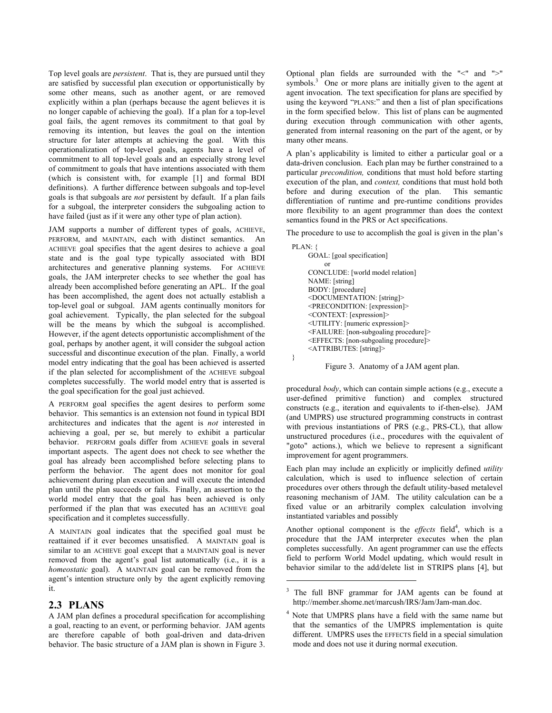Top level goals are *persistent*. That is, they are pursued until they are satisfied by successful plan execution or opportunistically by some other means, such as another agent, or are removed explicitly within a plan (perhaps because the agent believes it is no longer capable of achieving the goal). If a plan for a top-level goal fails, the agent removes its commitment to that goal by removing its intention, but leaves the goal on the intention structure for later attempts at achieving the goal. With this operationalization of top-level goals, agents have a level of commitment to all top-level goals and an especially strong level of commitment to goals that have intentions associated with them (which is consistent with, for example [1] and formal BDI definitions). A further difference between subgoals and top-level goals is that subgoals are *not* persistent by default. If a plan fails for a subgoal, the interpreter considers the subgoaling action to have failed (just as if it were any other type of plan action).

JAM supports a number of different types of goals, ACHIEVE, PERFORM, and MAINTAIN, each with distinct semantics. An ACHIEVE goal specifies that the agent desires to achieve a goal state and is the goal type typically associated with BDI architectures and generative planning systems. For ACHIEVE goals, the JAM interpreter checks to see whether the goal has already been accomplished before generating an APL. If the goal has been accomplished, the agent does not actually establish a top-level goal or subgoal. JAM agents continually monitors for goal achievement. Typically, the plan selected for the subgoal will be the means by which the subgoal is accomplished. However, if the agent detects opportunistic accomplishment of the goal, perhaps by another agent, it will consider the subgoal action successful and discontinue execution of the plan. Finally, a world model entry indicating that the goal has been achieved is asserted if the plan selected for accomplishment of the ACHIEVE subgoal completes successfully. The world model entry that is asserted is the goal specification for the goal just achieved.

A PERFORM goal specifies the agent desires to perform some behavior. This semantics is an extension not found in typical BDI architectures and indicates that the agent is *not* interested in achieving a goal, per se, but merely to exhibit a particular behavior. PERFORM goals differ from ACHIEVE goals in several important aspects. The agent does not check to see whether the goal has already been accomplished before selecting plans to perform the behavior. The agent does not monitor for goal achievement during plan execution and will execute the intended plan until the plan succeeds or fails. Finally, an assertion to the world model entry that the goal has been achieved is only performed if the plan that was executed has an ACHIEVE goal specification and it completes successfully.

A MAINTAIN goal indicates that the specified goal must be reattained if it ever becomes unsatisfied. A MAINTAIN goal is similar to an ACHIEVE goal except that a MAINTAIN goal is never removed from the agent's goal list automatically (i.e., it is a *homeostatic* goal). A MAINTAIN goal can be removed from the agent's intention structure only by the agent explicitly removing it.

# **2.3 PLANS**

A JAM plan defines a procedural specification for accomplishing a goal, reacting to an event, or performing behavior. JAM agents are therefore capable of both goal-driven and data-driven behavior. The basic structure of a JAM plan is shown in Figure 3.

Optional plan fields are surrounded with the "<" and ">" symbols.<sup>[3](#page-3-0)</sup> One or more plans are initially given to the agent at agent invocation. The text specification for plans are specified by using the keyword "PLANS:" and then a list of plan specifications in the form specified below. This list of plans can be augmented during execution through communication with other agents, generated from internal reasoning on the part of the agent, or by many other means.

A plan's applicability is limited to either a particular goal or a data-driven conclusion. Each plan may be further constrained to a particular *precondition,* conditions that must hold before starting execution of the plan, and *context,* conditions that must hold both before and during execution of the plan. This semantic differentiation of runtime and pre-runtime conditions provides more flexibility to an agent programmer than does the context semantics found in the PRS or Act specifications.

The procedure to use to accomplish the goal is given in the plan's

| PLAN: {                                                |
|--------------------------------------------------------|
| GOAL: [goal specification]                             |
| or                                                     |
| CONCLUDE: [world model relation]                       |
| NAME: [string]                                         |
| BODY: [procedure]                                      |
| <documentation: [string]=""></documentation:>          |
| <precondition: [expression]=""></precondition:>        |
| <context: [expression]=""></context:>                  |
| <utility: [numeric="" expression]=""></utility:>       |
| <failure: [non-subgoaling="" procedure]=""></failure:> |
| <effects: [non-subgoaling="" procedure]=""></effects:> |
| <attributes: [string]=""></attributes:>                |
|                                                        |

#### Figure 3. Anatomy of a JAM agent plan.

procedural *body*, which can contain simple actions (e.g., execute a user-defined primitive function) and complex structured constructs (e.g., iteration and equivalents to if-then-else). JAM (and UMPRS) use structured programming constructs in contrast with previous instantiations of PRS (e.g., PRS-CL), that allow unstructured procedures (i.e., procedures with the equivalent of "goto" actions.), which we believe to represent a significant improvement for agent programmers.

Each plan may include an explicitly or implicitly defined *utility* calculation, which is used to influence selection of certain procedures over others through the default utility-based metalevel reasoning mechanism of JAM. The utility calculation can be a fixed value or an arbitrarily complex calculation involving instantiated variables and possibly

Another optional component is the *effects* field<sup>[4](#page-3-1)</sup>, which is a procedure that the JAM interpreter executes when the plan completes successfully. An agent programmer can use the effects field to perform World Model updating, which would result in behavior similar to the add/delete list in STRIPS plans [4], but

 $\overline{a}$ 

<span id="page-3-0"></span><sup>3</sup> The full BNF grammar for JAM agents can be found at http://member.shome.net/marcush/IRS/Jam/Jam-man.doc.

<span id="page-3-1"></span><sup>&</sup>lt;sup>4</sup> Note that UMPRS plans have a field with the same name but that the semantics of the UMPRS implementation is quite different. UMPRS uses the EFFECTS field in a special simulation mode and does not use it during normal execution.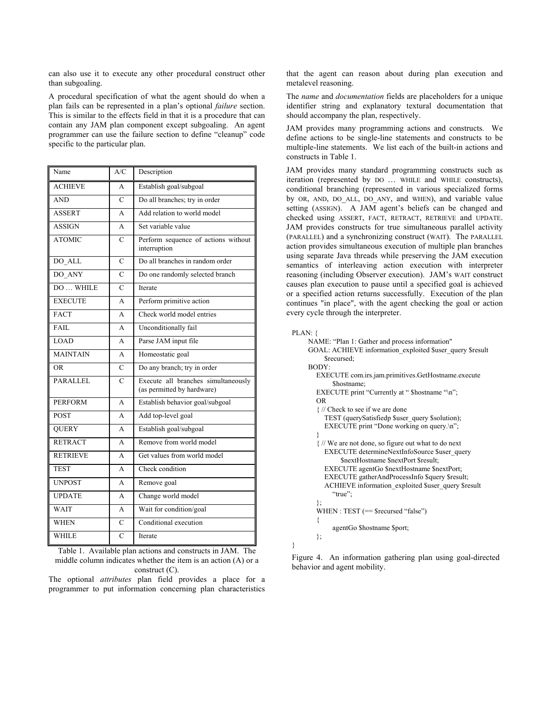can also use it to execute any other procedural construct other than subgoaling.

A procedural specification of what the agent should do when a plan fails can be represented in a plan's optional *failure* section. This is similar to the effects field in that it is a procedure that can contain any JAM plan component except subgoaling. An agent programmer can use the failure section to define "cleanup" code specific to the particular plan.

| Name            | A/C            | Description                                                       |
|-----------------|----------------|-------------------------------------------------------------------|
| <b>ACHIEVE</b>  | A              | Establish goal/subgoal                                            |
| <b>AND</b>      | C              | Do all branches; try in order                                     |
| <b>ASSERT</b>   | A              | Add relation to world model                                       |
| <b>ASSIGN</b>   | A              | Set variable value                                                |
| <b>ATOMIC</b>   | C              | Perform sequence of actions without<br>interruption               |
| DO ALL          | $\mathcal{C}$  | Do all branches in random order                                   |
| DO ANY          | C              | Do one randomly selected branch                                   |
| DO  WHILE       | $\overline{C}$ | Iterate                                                           |
| <b>EXECUTE</b>  | A              | Perform primitive action                                          |
| <b>FACT</b>     | A              | Check world model entries                                         |
| FAIL            | A              | Unconditionally fail                                              |
| LOAD            | A              | Parse JAM input file                                              |
| <b>MAINTAIN</b> | A              | Homeostatic goal                                                  |
| <b>OR</b>       | C              | Do any branch; try in order                                       |
| PARALLEL        | $\overline{C}$ | Execute all branches simultaneously<br>(as permitted by hardware) |
| <b>PERFORM</b>  | A              | Establish behavior goal/subgoal                                   |
| <b>POST</b>     | A              | Add top-level goal                                                |
| <b>QUERY</b>    | A              | Establish goal/subgoal                                            |
| <b>RETRACT</b>  | A              | Remove from world model                                           |
| <b>RETRIEVE</b> | A              | Get values from world model                                       |
| <b>TEST</b>     | A              | Check condition                                                   |
| <b>UNPOST</b>   | $\mathsf{A}$   | Remove goal                                                       |
| <b>UPDATE</b>   | A              | Change world model                                                |
| WAIT            | A              | Wait for condition/goal                                           |
| <b>WHEN</b>     | $\overline{C}$ | Conditional execution                                             |
| <b>WHILE</b>    | $\overline{C}$ | Iterate                                                           |

Table 1. Available plan actions and constructs in JAM. The middle column indicates whether the item is an action (A) or a construct (C).

The optional *attributes* plan field provides a place for a programmer to put information concerning plan characteristics that the agent can reason about during plan execution and metalevel reasoning.

The *name* and *documentation* fields are placeholders for a unique identifier string and explanatory textural documentation that should accompany the plan, respectively.

JAM provides many programming actions and constructs. We define actions to be single-line statements and constructs to be multiple-line statements. We list each of the built-in actions and constructs in Table 1.

JAM provides many standard programming constructs such as iteration (represented by DO … WHILE and WHILE constructs), conditional branching (represented in various specialized forms by OR, AND, DO ALL, DO ANY, and WHEN), and variable value setting (ASSIGN). A JAM agent's beliefs can be changed and checked using ASSERT, FACT, RETRACT, RETRIEVE and UPDATE. JAM provides constructs for true simultaneous parallel activity (PARALLEL) and a synchronizing construct (WAIT). The PARALLEL action provides simultaneous execution of multiple plan branches using separate Java threads while preserving the JAM execution semantics of interleaving action execution with interpreter reasoning (including Observer execution). JAM's WAIT construct causes plan execution to pause until a specified goal is achieved or a specified action returns successfully. Execution of the plan continues "in place", with the agent checking the goal or action every cycle through the interpreter.

PLAN: {

}

behavior and agent mobility.

| NAME: "Plan 1: Gather and process information"            |
|-----------------------------------------------------------|
| GOAL: ACHIEVE information exploited \$user query \$result |
| Srecursed:                                                |
| BODY:                                                     |
| EXECUTE com.irs.jam.primitives.GetHostname.execute        |
| Shostname:                                                |
| EXECUTE print "Currently at " \$hostname "\n";            |
| OR.                                                       |
| If If we are done                                         |
| TEST (querySatisfiedp \$user query \$solution);           |
| EXECUTE print "Done working on query.\n";                 |
| ∤                                                         |
| {// We are not done, so figure out what to do next        |
| EXECUTE determineNextInfoSource \$user query              |
| <b>SnextHostname SnextPort Sresult;</b>                   |
| EXECUTE agentGo \$nextHostname \$nextPort;                |
| EXECUTE gatherAndProcessInfo \$query \$result;            |
| ACHIEVE information exploited \$user query \$result       |
| "true":                                                   |
| };                                                        |
| WHEN : $TEST (=$ $$recussed "false")$                     |
| ∤                                                         |
| agentGo \$hostname \$port;                                |
| };                                                        |

Figure 4. An information gathering plan using goal-directed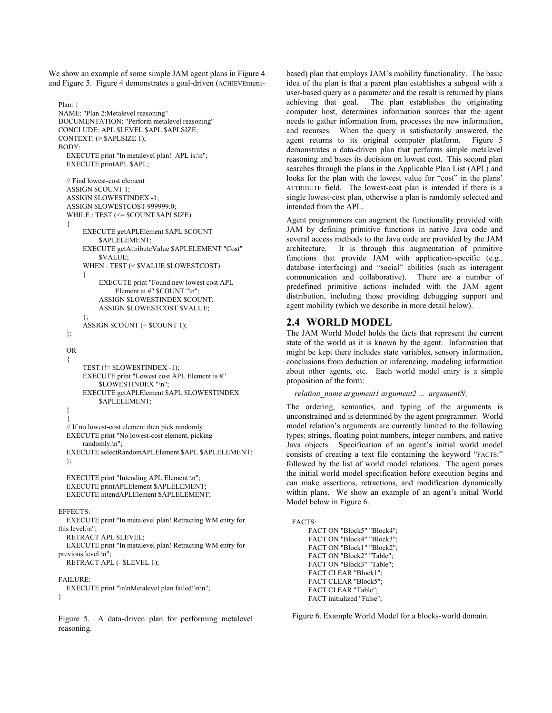We show an example of some simple JAM agent plans in Figure 4 and Figure 5. Figure 4 demonstrates a goal-driven (ACHIEVEment-

```
Plan: {
NAME: "Plan 2:Metalevel reasoning"
DOCUMENTATION: "Perform metalevel reasoning" 
CONCLUDE: APL $LEVEL $APL $APLSIZE; 
CONTEXT: (> $APLSIZE 1); 
BODY: 
  EXECUTE print "In metalevel plan! APL is:\n";
  EXECUTE printAPL $APL; 
  // Find lowest-cost element 
  ASSIGN $COUNT 1; 
  ASSIGN $LOWESTINDEX -1; 
  ASSIGN $LOWESTCOST 999999.0; 
  WHILE : TEST (<= $COUNT $APLSIZE) 
  { 
       EXECUTE getAPLElement $APL $COUNT 
            $APLELEMENT; 
       EXECUTE getAttributeValue $APLELEMENT "Cost" 
            $VALUE; 
       WHEN : TEST (< $VALUE $LOWESTCOST) 
       { 
            EXECUTE print "Found new lowest cost APL
                 Element at #" $COUNT "\n";
            ASSIGN $LOWESTINDEX $COUNT; 
            ASSIGN $LOWESTCOST $VALUE; 
       }; 
       ASSIGN $COUNT (+ $COUNT 1); 
  }; 
  OR 
  { 
       TEST (!= $LOWESTINDEX -1); 
       EXECUTE print "Lowest cost APL Element is #"
            $LOWESTINDEX "\n"; 
       EXECUTE getAPLElement $APL $LOWESTINDEX 
            $APLELEMENT; 
  } 
  { 
  // If no lowest-cost element then pick randomly
  EXECUTE print "No lowest-cost element, picking 
       randomly.\n"; 
  EXECUTE selectRandomAPLElement $APL $APLELEMENT; 
  }; 
  EXECUTE print "Intending APL Element:\n"; 
  EXECUTE printAPLElement $APLELEMENT; 
  EXECUTE intendAPLElement $APLELEMENT; 
EFFECTS: 
  EXECUTE print "In metalevel plan! Retracting WM entry for 
this level.\n"; 
  RETRACT APL $LEVEL; 
  EXECUTE print "In metalevel plan! Retracting WM entry for 
previous level.\n";
  RETRACT APL (- $LEVEL 1); 
FAILURE: 
  EXECUTE print "\n\nMetalevel plan failed!\n\n";
```
}

Figure 5. A data-driven plan for performing metalevel reasoning.

based) plan that employs JAM's mobility functionality. The basic idea of the plan is that a parent plan establishes a subgoal with a user-based query as a parameter and the result is returned by plans achieving that goal. The plan establishes the originating computer host, determines information sources that the agent needs to gather information from, processes the new information, and recurses. When the query is satisfactorily answered, the agent returns to its original computer platform. Figure 5 demonstrates a data-driven plan that performs simple metalevel reasoning and bases its decision on lowest cost. This second plan searches through the plans in the Applicable Plan List (APL) and looks for the plan with the lowest value for "cost" in the plans' ATTRIBUTE field. The lowest-cost plan is intended if there is a single lowest-cost plan, otherwise a plan is randomly selected and intended from the APL.

Agent programmers can augment the functionality provided with JAM by defining primitive functions in native Java code and several access methods to the Java code are provided by the JAM architecture. It is through this augmentation of primitive functions that provide JAM with application-specific (e.g., database interfacing) and "social" abilities (such as interagent communication and collaborative). There are a number of predefined primitive actions included with the JAM agent distribution, including those providing debugging support and agent mobility (which we describe in more detail below).

# **2.4 WORLD MODEL**

The JAM World Model holds the facts that represent the current state of the world as it is known by the agent. Information that might be kept there includes state variables, sensory information, conclusions from deduction or inferencing, modeling information about other agents, etc. Each world model entry is a simple proposition of the form:

```
 relation_name argument1 argument2 ... argumentN;
```
The ordering, semantics, and typing of the arguments is unconstrained and is determined by the agent programmer. World model relation's arguments are currently limited to the following types: strings, floating point numbers, integer numbers, and native Java objects. Specification of an agent's initial world model consists of creating a text file containing the keyword "FACTS:" followed by the list of world model relations. The agent parses the initial world model specification before execution begins and can make assertions, retractions, and modification dynamically within plans. We show an example of an agent's initial World Model below in Figure 6.

```
FACTS: 
     FACT ON "Block5" "Block4"; 
     FACT ON "Block4" "Block3"; 
     FACT ON "Block1" "Block2"; 
     FACT ON "Block2" "Table"; 
     FACT ON "Block3" "Table";
     FACT CLEAR "Block1"; 
     FACT CLEAR "Block5"; 
     FACT CLEAR "Table"; 
     FACT initialized "False";
```
Figure 6. Example World Model for a blocks-world domain.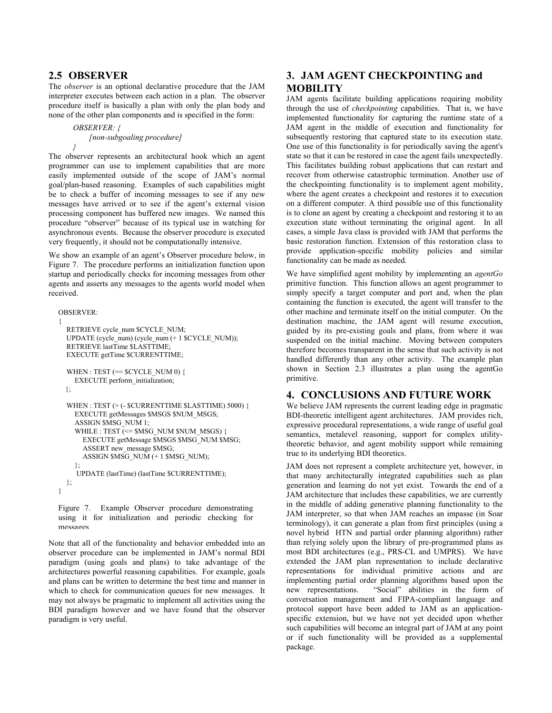# **2.5 OBSERVER**

The *observer* is an optional declarative procedure that the JAM interpreter executes between each action in a plan. The observer procedure itself is basically a plan with only the plan body and none of the other plan components and is specified in the form:

```
OBSERVER: { 
    [non-subgoaling procedure]
}
```
The observer represents an architectural hook which an agent programmer can use to implement capabilities that are more easily implemented outside of the scope of JAM's normal goal/plan-based reasoning. Examples of such capabilities might be to check a buffer of incoming messages to see if any new messages have arrived or to see if the agent's external vision processing component has buffered new images. We named this procedure "observer" because of its typical use in watching for asynchronous events. Because the observer procedure is executed very frequently, it should not be computationally intensive.

We show an example of an agent's Observer procedure below, in Figure 7. The procedure performs an initialization function upon startup and periodically checks for incoming messages from other agents and asserts any messages to the agents world model when received.

```
OBSERVER:
```

```
{ 
  RETRIEVE cycle_num $CYCLE_NUM; 
  UPDATE (cycle_num) (cycle_num (+ 1 $CYCLE_NUM));
  RETRIEVE lastTime $LASTTIME; 
  EXECUTE getTime $CURRENTTIME; 
  WHEN : TEST (== SCYCLE_NUM 0) \{EXECUTE perform_initialization;
  }; 
  WHEN : TEST (> (- $CURRENTTIME $LASTTIME) 5000) { 
    EXECUTE getMessages $MSGS $NUM_MSGS; 
    ASSIGN $MSG_NUM 1; 
    WHILE : TEST \bar{C} = $MSG_NUM $NUM_MSGS) {
      EXECUTE getMessage \overline{\$MSGS\ $MSG$} NUM $MSG;
      ASSERT new_message $MSG; 
      ASSIGN $MSG_NUM (+ 1 $MSG_NUM); 
    }; 
     UPDATE (lastTime) (lastTime $CURRENTTIME); 
  }; 
}
```
Figure 7. Example Observer procedure demonstrating using it for initialization and periodic checking for messages

Note that all of the functionality and behavior embedded into an observer procedure can be implemented in JAM's normal BDI paradigm (using goals and plans) to take advantage of the architectures powerful reasoning capabilities. For example, goals and plans can be written to determine the best time and manner in which to check for communication queues for new messages. It may not always be pragmatic to implement all activities using the BDI paradigm however and we have found that the observer paradigm is very useful.

# **3. JAM AGENT CHECKPOINTING and MOBILITY**

JAM agents facilitate building applications requiring mobility through the use of *checkpointing* capabilities. That is, we have implemented functionality for capturing the runtime state of a JAM agent in the middle of execution and functionality for subsequently restoring that captured state to its execution state. One use of this functionality is for periodically saving the agent's state so that it can be restored in case the agent fails unexpectedly. This facilitates building robust applications that can restart and recover from otherwise catastrophic termination. Another use of the checkpointing functionality is to implement agent mobility, where the agent creates a checkpoint and restores it to execution on a different computer. A third possible use of this functionality is to clone an agent by creating a checkpoint and restoring it to an execution state without terminating the original agent. In all cases, a simple Java class is provided with JAM that performs the basic restoration function. Extension of this restoration class to provide application-specific mobility policies and similar functionality can be made as needed.

We have simplified agent mobility by implementing an *agentGo* primitive function. This function allows an agent programmer to simply specify a target computer and port and, when the plan containing the function is executed, the agent will transfer to the other machine and terminate itself on the initial computer. On the destination machine, the JAM agent will resume execution, guided by its pre-existing goals and plans, from where it was suspended on the initial machine. Moving between computers therefore becomes transparent in the sense that such activity is not handled differently than any other activity. The example plan shown in Section 2.3 illustrates a plan using the agentGo primitive.

# **4. CONCLUSIONS AND FUTURE WORK**

We believe JAM represents the current leading edge in pragmatic BDI-theoretic intelligent agent architectures. JAM provides rich, expressive procedural representations, a wide range of useful goal semantics, metalevel reasoning, support for complex utilitytheoretic behavior, and agent mobility support while remaining true to its underlying BDI theoretics.

JAM does not represent a complete architecture yet, however, in that many architecturally integrated capabilities such as plan generation and learning do not yet exist. Towards the end of a JAM architecture that includes these capabilities, we are currently in the middle of adding generative planning functionality to the JAM interpreter, so that when JAM reaches an impasse (in Soar terminology), it can generate a plan from first principles (using a novel hybrid HTN and partial order planning algorithm) rather than relying solely upon the library of pre-programmed plans as most BDI architectures (e.g., PRS-CL and UMPRS). We have extended the JAM plan representation to include declarative representations for individual primitive actions and are implementing partial order planning algorithms based upon the new representations. "Social" abilities in the form of conversation management and FIPA-compliant language and protocol support have been added to JAM as an applicationspecific extension, but we have not yet decided upon whether such capabilities will become an integral part of JAM at any point or if such functionality will be provided as a supplemental package.